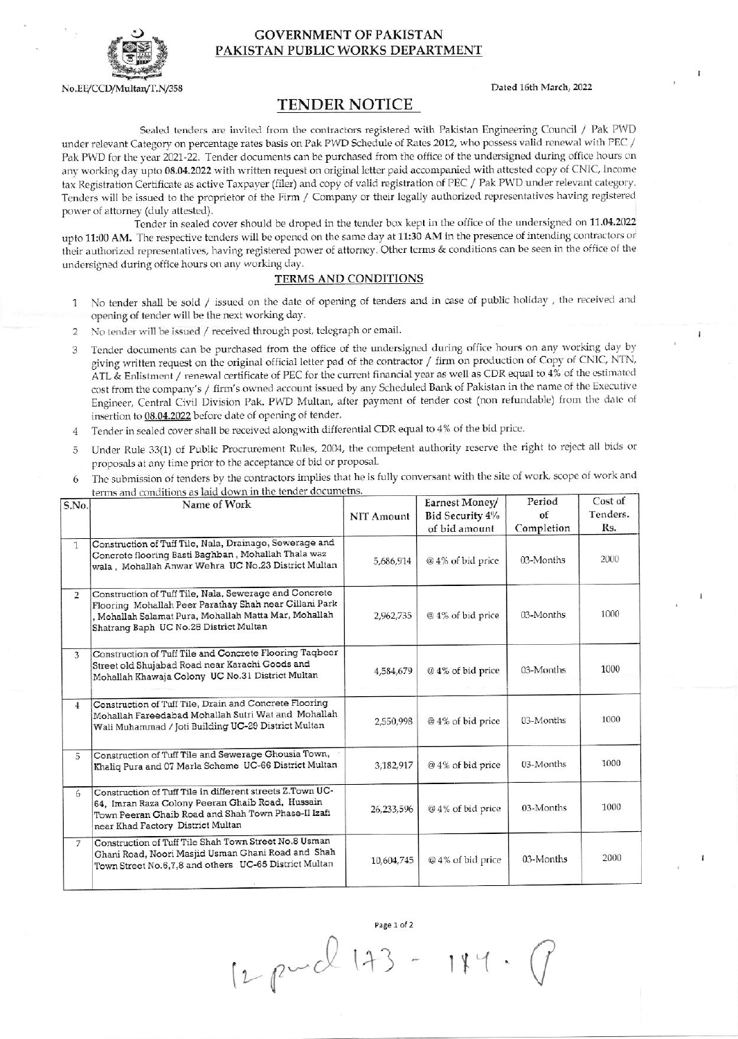

No.EE/CCD/Multan/T.N/358

## **GOVERNMENT OF PAKISTAN** PAKISTAN PUBLIC WORKS DEPARTMENT

Dated 16th March, 2022

## **TENDER NOTICE**

Sealed tenders are invited from the contractors registered with Pakistan Engineering Council / Pak PWD under relevant Category on percentage rates basis on Pak PWD Schedule of Rates 2012, who possess valid renewal with PEC / Pak PWD for the year 2021-22. Tender documents can be purchased from the office of the undersigned during office hours on any working day upto 08.04.2022 with written request on original letter paid accompanied with attested copy of CNIC, Income tax Registration Certificate as active Taxpayer (filer) and copy of valid registration of PEC / Pak PWD under relevant category. Tenders will be issued to the proprietor of the Firm / Company or their legally authorized representatives having registered power of attorney (duly attested).

Tender in sealed cover should be droped in the tender box kept in the office of the undersigned on 11.04.2022 upto 11:00 AM. The respective tenders will be opened on the same day at 11:30 AM in the presence of intending contractors or their authorized representatives, having registered power of attorney. Other terms & conditions can be seen in the office of the undersigned during office hours on any working day.

## **TERMS AND CONDITIONS**

- No tender shall be sold / issued on the date of opening of tenders and in case of public holiday, the received and  $\mathbf{1}$ opening of tender will be the next working day.
- No tender will be issued / received through post, telegraph or email.  $\overline{2}$
- 3 Tender documents can be purchased from the office of the undersigned during office hours on any working day by giving written request on the original official letter pad of the contractor / firm on production of Copy of CNIC, NTN, ATL & Enlistment / renewal certificate of PEC for the current financial year as well as CDR equal to 4% of the estimated cost from the company's / firm's owned account issued by any Scheduled Bank of Pakistan in the name of the Executive Engineer, Central Civil Division Pak. PWD Multan, after payment of tender cost (non refundable) from the date of insertion to 08.04.2022 before date of opening of tender.
- Tender in sealed cover shall be received alongwith differential CDR equal to 4% of the bid price.  $\overline{4}$
- Under Rule 33(1) of Public Procrurement Rules, 2004, the competent authority reserve the right to reject all bids or  $\overline{5}$ proposals at any time prior to the acceptance of bid or proposal.
- The submission of tenders by the contractors implies that he is fully conversant with the site of work, scope of work and 6 mditions as laid down in the tender documetns

| S.No.          | <u>terms and continuus as iaid down in the tender documents:</u><br>Name of Work                                                                                                                                    | <b>NIT Amount</b> | Earnest Money/<br>Bid Security 4%<br>of bid amount | Period<br>of<br>Completion | Cost of<br>Tenders.<br>Rs. |
|----------------|---------------------------------------------------------------------------------------------------------------------------------------------------------------------------------------------------------------------|-------------------|----------------------------------------------------|----------------------------|----------------------------|
| $\mathbf{1}$   | Construction of Tuff Tile, Nala, Drainage, Sewerage and<br>Concrete flooring Basti Baghban, Mohallah Thala waz<br>wala, Mohallah Anwar Wehra UC No.23 District Multan                                               | 5,686,914         | @ 4% of bid price                                  | 03-Months                  | 2000                       |
| $\overline{2}$ | Construction of Tuff Tile, Nala, Sewerage and Concrete<br>Flooring Mohallah Peer Parathay Shah near Gillani Park<br>, Mohallah Salamat Pura, Mohallah Matta Mar, Mohallah<br>Shatrang Baph UC No.28 District Multan | 2,962,735         | @ 4% of bid price                                  | 03-Months                  | 1000                       |
| 3              | Construction of Tuff Tile and Concrete Flooring Taqbeer<br>Street old Shujabad Road near Karachi Goods and<br>Mohallah Khawaja Colony UC No.31 District Multan                                                      | 4,584,679         | @ 4% of bid price                                  | 03-Months                  | 1000                       |
| $\overline{4}$ | Construction of Tuff Tile, Drain and Concrete Flooring<br>Mohallah Fareedabad Mohallah Sutri Wat and Mohallah<br>Wali Muhammad / Joti Building UC-29 District Multan                                                | 2,550,998         | @ 4% of bid price                                  | 03-Months                  | 1000                       |
| 5              | Construction of Tuff Tile and Sewerage Chousia Town,<br>Khaliq Pura and 07 Marla Scheme UC-66 District Multan                                                                                                       | 3,182,917         | @4% of bid price                                   | 03-Months                  | 1000                       |
| 6              | Construction of Tuff Tile in different streets Z.Town UC-<br>64, Imran Raza Colony Peeran Ghaib Road, Hussain<br>Town Peeran Ghaib Road and Shah Town Phase-II Izafi<br>near Khad Factory District Multan           | 26,233,596        | @ 4% of bid price                                  | 03-Months                  | 1000                       |
| 7              | Construction of Tuff Tile Shah Town Street No.8 Usman<br>Ghani Road, Noori Masjid Usman Ghani Road and Shah<br>Town Street No.6,7,8 and others UC-65 District Multan                                                | 10,604,745        | @ 4% of bid price                                  | 03-Months                  | 2000                       |

Page 1 of 2 12 puil 173 -

 $184.$